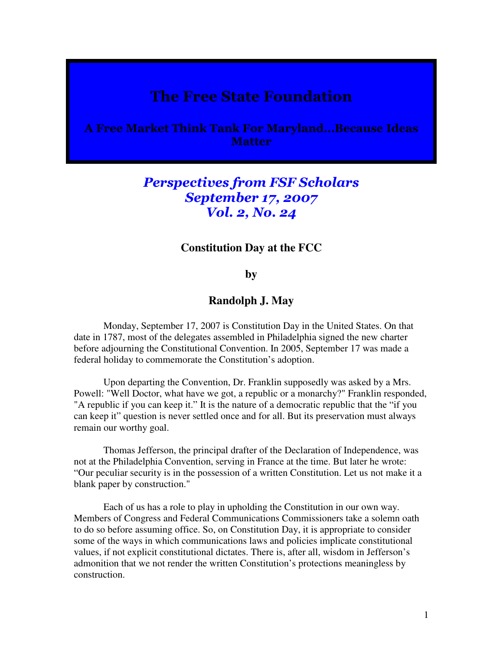# The Free State Foundation

A Free Market Think Tank For Maryland…Because Ideas **Matter** 

## Perspectives from FSF Scholars September 17, 2007 Vol. 2, No. 24

#### **Constitution Day at the FCC**

## **by**

## **Randolph J. May**

 Monday, September 17, 2007 is Constitution Day in the United States. On that date in 1787, most of the delegates assembled in Philadelphia signed the new charter before adjourning the Constitutional Convention. In 2005, September 17 was made a federal holiday to commemorate the Constitution's adoption.

 Upon departing the Convention, Dr. Franklin supposedly was asked by a Mrs. Powell: "Well Doctor, what have we got, a republic or a monarchy?" Franklin responded, "A republic if you can keep it." It is the nature of a democratic republic that the "if you can keep it" question is never settled once and for all. But its preservation must always remain our worthy goal.

 Thomas Jefferson, the principal drafter of the Declaration of Independence, was not at the Philadelphia Convention, serving in France at the time. But later he wrote: "Our peculiar security is in the possession of a written Constitution. Let us not make it a blank paper by construction."

 Each of us has a role to play in upholding the Constitution in our own way. Members of Congress and Federal Communications Commissioners take a solemn oath to do so before assuming office. So, on Constitution Day, it is appropriate to consider some of the ways in which communications laws and policies implicate constitutional values, if not explicit constitutional dictates. There is, after all, wisdom in Jefferson's admonition that we not render the written Constitution's protections meaningless by construction.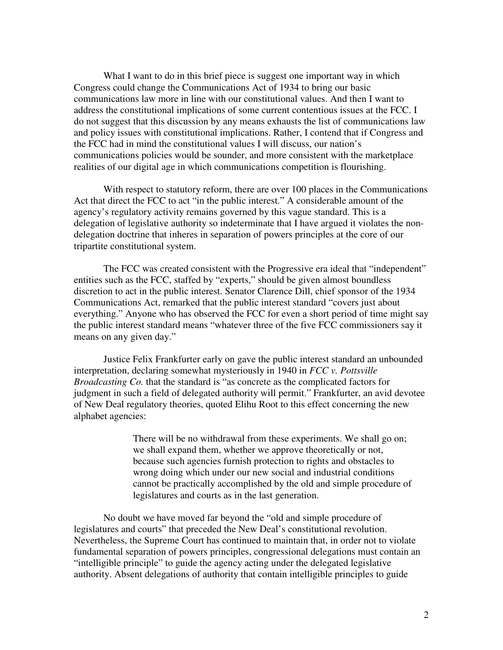What I want to do in this brief piece is suggest one important way in which Congress could change the Communications Act of 1934 to bring our basic communications law more in line with our constitutional values. And then I want to address the constitutional implications of some current contentious issues at the FCC. I do not suggest that this discussion by any means exhausts the list of communications law and policy issues with constitutional implications. Rather, I contend that if Congress and the FCC had in mind the constitutional values I will discuss, our nation's communications policies would be sounder, and more consistent with the marketplace realities of our digital age in which communications competition is flourishing.

 With respect to statutory reform, there are over 100 places in the Communications Act that direct the FCC to act "in the public interest." A considerable amount of the agency's regulatory activity remains governed by this vague standard. This is a delegation of legislative authority so indeterminate that I have argued it violates the nondelegation doctrine that inheres in separation of powers principles at the core of our tripartite constitutional system.

 The FCC was created consistent with the Progressive era ideal that "independent" entities such as the FCC, staffed by "experts," should be given almost boundless discretion to act in the public interest. Senator Clarence Dill, chief sponsor of the 1934 Communications Act, remarked that the public interest standard "covers just about everything." Anyone who has observed the FCC for even a short period of time might say the public interest standard means "whatever three of the five FCC commissioners say it means on any given day."

 Justice Felix Frankfurter early on gave the public interest standard an unbounded interpretation, declaring somewhat mysteriously in 1940 in *FCC v. Pottsville Broadcasting Co.* that the standard is "as concrete as the complicated factors for judgment in such a field of delegated authority will permit." Frankfurter, an avid devotee of New Deal regulatory theories, quoted Elihu Root to this effect concerning the new alphabet agencies:

> There will be no withdrawal from these experiments. We shall go on; we shall expand them, whether we approve theoretically or not, because such agencies furnish protection to rights and obstacles to wrong doing which under our new social and industrial conditions cannot be practically accomplished by the old and simple procedure of legislatures and courts as in the last generation.

 No doubt we have moved far beyond the "old and simple procedure of legislatures and courts" that preceded the New Deal's constitutional revolution. Nevertheless, the Supreme Court has continued to maintain that, in order not to violate fundamental separation of powers principles, congressional delegations must contain an "intelligible principle" to guide the agency acting under the delegated legislative authority. Absent delegations of authority that contain intelligible principles to guide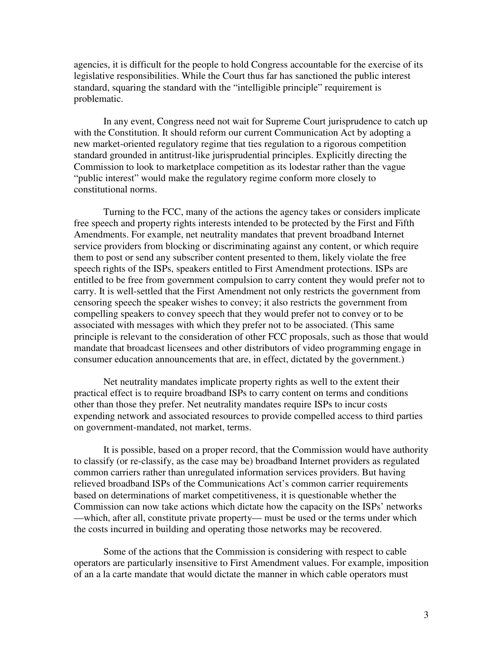agencies, it is difficult for the people to hold Congress accountable for the exercise of its legislative responsibilities. While the Court thus far has sanctioned the public interest standard, squaring the standard with the "intelligible principle" requirement is problematic.

 In any event, Congress need not wait for Supreme Court jurisprudence to catch up with the Constitution. It should reform our current Communication Act by adopting a new market-oriented regulatory regime that ties regulation to a rigorous competition standard grounded in antitrust-like jurisprudential principles. Explicitly directing the Commission to look to marketplace competition as its lodestar rather than the vague "public interest" would make the regulatory regime conform more closely to constitutional norms.

 Turning to the FCC, many of the actions the agency takes or considers implicate free speech and property rights interests intended to be protected by the First and Fifth Amendments. For example, net neutrality mandates that prevent broadband Internet service providers from blocking or discriminating against any content, or which require them to post or send any subscriber content presented to them, likely violate the free speech rights of the ISPs, speakers entitled to First Amendment protections. ISPs are entitled to be free from government compulsion to carry content they would prefer not to carry. It is well-settled that the First Amendment not only restricts the government from censoring speech the speaker wishes to convey; it also restricts the government from compelling speakers to convey speech that they would prefer not to convey or to be associated with messages with which they prefer not to be associated. (This same principle is relevant to the consideration of other FCC proposals, such as those that would mandate that broadcast licensees and other distributors of video programming engage in consumer education announcements that are, in effect, dictated by the government.)

 Net neutrality mandates implicate property rights as well to the extent their practical effect is to require broadband ISPs to carry content on terms and conditions other than those they prefer. Net neutrality mandates require ISPs to incur costs expending network and associated resources to provide compelled access to third parties on government-mandated, not market, terms.

 It is possible, based on a proper record, that the Commission would have authority to classify (or re-classify, as the case may be) broadband Internet providers as regulated common carriers rather than unregulated information services providers. But having relieved broadband ISPs of the Communications Act's common carrier requirements based on determinations of market competitiveness, it is questionable whether the Commission can now take actions which dictate how the capacity on the ISPs' networks —which, after all, constitute private property— must be used or the terms under which the costs incurred in building and operating those networks may be recovered.

 Some of the actions that the Commission is considering with respect to cable operators are particularly insensitive to First Amendment values. For example, imposition of an a la carte mandate that would dictate the manner in which cable operators must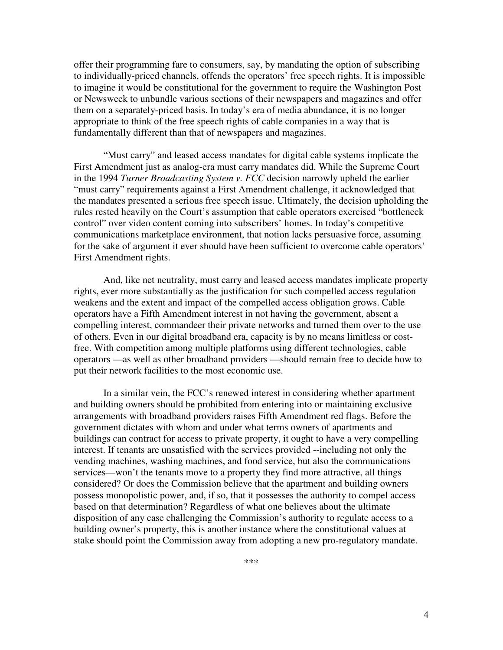offer their programming fare to consumers, say, by mandating the option of subscribing to individually-priced channels, offends the operators' free speech rights. It is impossible to imagine it would be constitutional for the government to require the Washington Post or Newsweek to unbundle various sections of their newspapers and magazines and offer them on a separately-priced basis. In today's era of media abundance, it is no longer appropriate to think of the free speech rights of cable companies in a way that is fundamentally different than that of newspapers and magazines.

 "Must carry" and leased access mandates for digital cable systems implicate the First Amendment just as analog-era must carry mandates did. While the Supreme Court in the 1994 *Turner Broadcasting System v. FCC* decision narrowly upheld the earlier "must carry" requirements against a First Amendment challenge, it acknowledged that the mandates presented a serious free speech issue. Ultimately, the decision upholding the rules rested heavily on the Court's assumption that cable operators exercised "bottleneck control" over video content coming into subscribers' homes. In today's competitive communications marketplace environment, that notion lacks persuasive force, assuming for the sake of argument it ever should have been sufficient to overcome cable operators' First Amendment rights.

 And, like net neutrality, must carry and leased access mandates implicate property rights, ever more substantially as the justification for such compelled access regulation weakens and the extent and impact of the compelled access obligation grows. Cable operators have a Fifth Amendment interest in not having the government, absent a compelling interest, commandeer their private networks and turned them over to the use of others. Even in our digital broadband era, capacity is by no means limitless or costfree. With competition among multiple platforms using different technologies, cable operators —as well as other broadband providers —should remain free to decide how to put their network facilities to the most economic use.

 In a similar vein, the FCC's renewed interest in considering whether apartment and building owners should be prohibited from entering into or maintaining exclusive arrangements with broadband providers raises Fifth Amendment red flags. Before the government dictates with whom and under what terms owners of apartments and buildings can contract for access to private property, it ought to have a very compelling interest. If tenants are unsatisfied with the services provided --including not only the vending machines, washing machines, and food service, but also the communications services—won't the tenants move to a property they find more attractive, all things considered? Or does the Commission believe that the apartment and building owners possess monopolistic power, and, if so, that it possesses the authority to compel access based on that determination? Regardless of what one believes about the ultimate disposition of any case challenging the Commission's authority to regulate access to a building owner's property, this is another instance where the constitutional values at stake should point the Commission away from adopting a new pro-regulatory mandate.